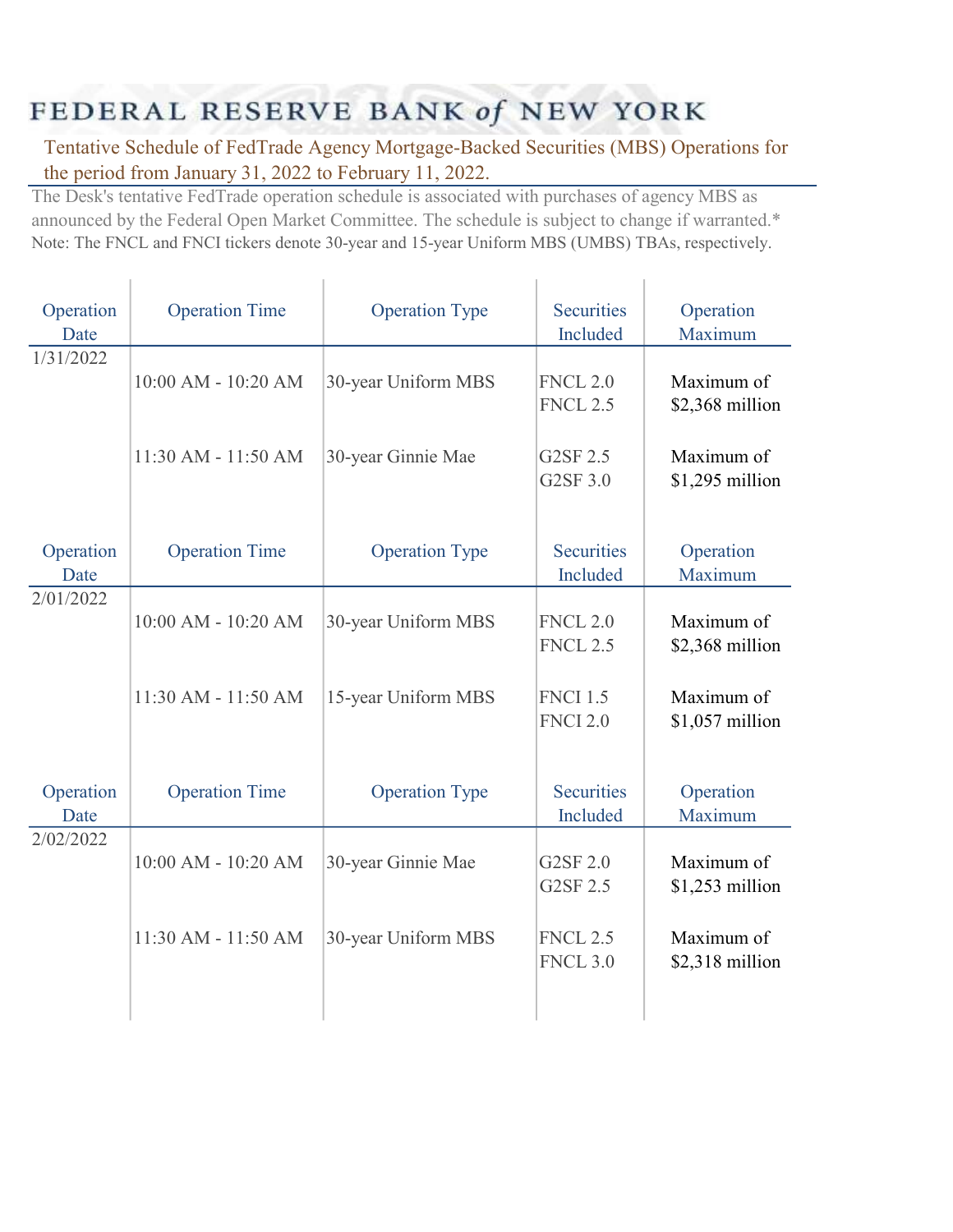## FEDERAL RESERVE BANK of NEW YORK

Tentative Schedule of FedTrade Agency Mortgage-Backed Securities (MBS) Operations for the period from January 31, 2022 to February 11, 2022.

The Desk's tentative FedTrade operation schedule is associated with purchases of agency MBS as announced by the Federal Open Market Committee. The schedule is subject to change if warranted.\* Note: The FNCL and FNCI tickers denote 30-year and 15-year Uniform MBS (UMBS) TBAs, respectively.

| Operation | <b>Operation Time</b> | <b>Operation Type</b> | <b>Securities</b> | Operation        |
|-----------|-----------------------|-----------------------|-------------------|------------------|
| Date      |                       |                       | Included          | Maximum          |
| 1/31/2022 |                       |                       |                   |                  |
|           | 10:00 AM - 10:20 AM   | 30-year Uniform MBS   | <b>FNCL 2.0</b>   | Maximum of       |
|           |                       |                       | <b>FNCL 2.5</b>   | \$2,368 million  |
|           |                       |                       |                   |                  |
|           | 11:30 AM - 11:50 AM   |                       | G2SF 2.5          | Maximum of       |
|           |                       | 30-year Ginnie Mae    |                   |                  |
|           |                       |                       | G2SF 3.0          | $$1,295$ million |
|           |                       |                       |                   |                  |
|           |                       |                       |                   |                  |
| Operation | <b>Operation Time</b> | <b>Operation Type</b> | <b>Securities</b> | Operation        |
| Date      |                       |                       | Included          | Maximum          |
| 2/01/2022 |                       |                       |                   |                  |
|           | 10:00 AM - 10:20 AM   | 30-year Uniform MBS   | <b>FNCL 2.0</b>   | Maximum of       |
|           |                       |                       | <b>FNCL 2.5</b>   | \$2,368 million  |
|           |                       |                       |                   |                  |
|           | 11:30 AM - 11:50 AM   | 15-year Uniform MBS   | <b>FNCI 1.5</b>   | Maximum of       |
|           |                       |                       | <b>FNCI 2.0</b>   | \$1,057 million  |
|           |                       |                       |                   |                  |
|           |                       |                       |                   |                  |
| Operation | <b>Operation Time</b> | <b>Operation Type</b> | <b>Securities</b> | Operation        |
| Date      |                       |                       | Included          | Maximum          |
| 2/02/2022 |                       |                       |                   |                  |
|           | 10:00 AM - 10:20 AM   |                       | G2SF 2.0          | Maximum of       |
|           |                       | 30-year Ginnie Mae    | G2SF 2.5          |                  |
|           |                       |                       |                   | $$1,253$ million |
|           |                       |                       |                   |                  |
|           | 11:30 AM - 11:50 AM   | 30-year Uniform MBS   | <b>FNCL 2.5</b>   | Maximum of       |
|           |                       |                       | <b>FNCL 3.0</b>   | \$2,318 million  |
|           |                       |                       |                   |                  |
|           |                       |                       |                   |                  |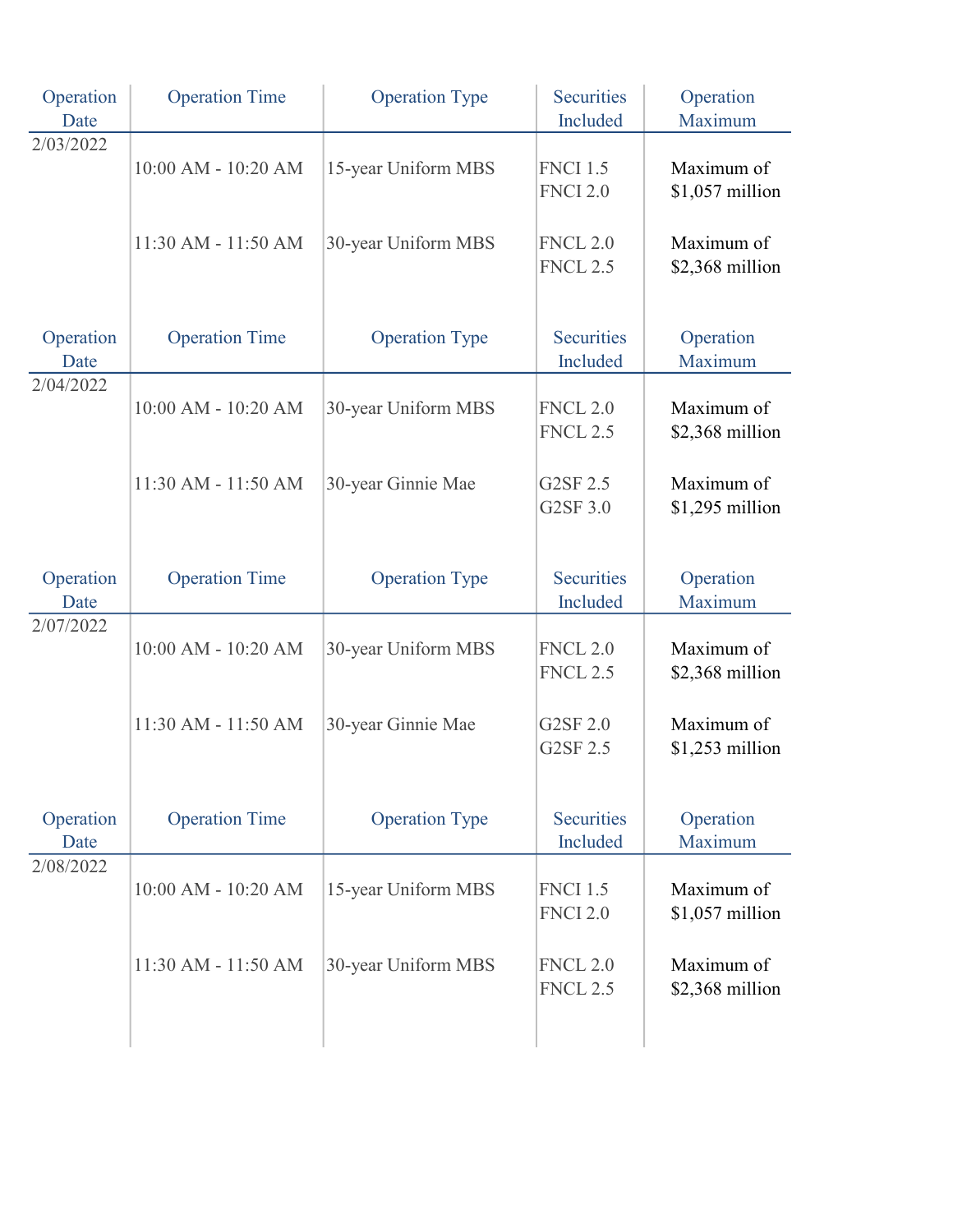| Operation<br>Date | <b>Operation Time</b> | <b>Operation Type</b> | <b>Securities</b><br>Included      | Operation<br>Maximum           |
|-------------------|-----------------------|-----------------------|------------------------------------|--------------------------------|
| 2/03/2022         | 10:00 AM - 10:20 AM   | 15-year Uniform MBS   | <b>FNCI 1.5</b><br><b>FNCI 2.0</b> | Maximum of<br>$$1,057$ million |
|                   | 11:30 AM - 11:50 AM   | 30-year Uniform MBS   | <b>FNCL 2.0</b><br><b>FNCL 2.5</b> | Maximum of<br>\$2,368 million  |
| Operation<br>Date | <b>Operation Time</b> | <b>Operation Type</b> | <b>Securities</b><br>Included      | Operation<br>Maximum           |
| 2/04/2022         | 10:00 AM - 10:20 AM   | 30-year Uniform MBS   | <b>FNCL 2.0</b><br><b>FNCL 2.5</b> | Maximum of<br>\$2,368 million  |
|                   | 11:30 AM - 11:50 AM   | 30-year Ginnie Mae    | G2SF 2.5<br>G2SF 3.0               | Maximum of<br>\$1,295 million  |
| Operation<br>Date | <b>Operation Time</b> | <b>Operation Type</b> | <b>Securities</b><br>Included      | Operation<br>Maximum           |
| 2/07/2022         | 10:00 AM - 10:20 AM   | 30-year Uniform MBS   | <b>FNCL 2.0</b><br><b>FNCL 2.5</b> | Maximum of<br>\$2,368 million  |
|                   | 11:30 AM - 11:50 AM   | 30-year Ginnie Mae    | G2SF 2.0<br>G2SF 2.5               | Maximum of<br>$$1,253$ million |
| Operation<br>Date | <b>Operation Time</b> | <b>Operation Type</b> | <b>Securities</b><br>Included      | Operation<br>Maximum           |
| 2/08/2022         | 10:00 AM - 10:20 AM   | 15-year Uniform MBS   | <b>FNCI 1.5</b><br><b>FNCI 2.0</b> | Maximum of<br>\$1,057 million  |
|                   | 11:30 AM - 11:50 AM   | 30-year Uniform MBS   | <b>FNCL 2.0</b><br><b>FNCL 2.5</b> | Maximum of<br>\$2,368 million  |
|                   |                       |                       |                                    |                                |